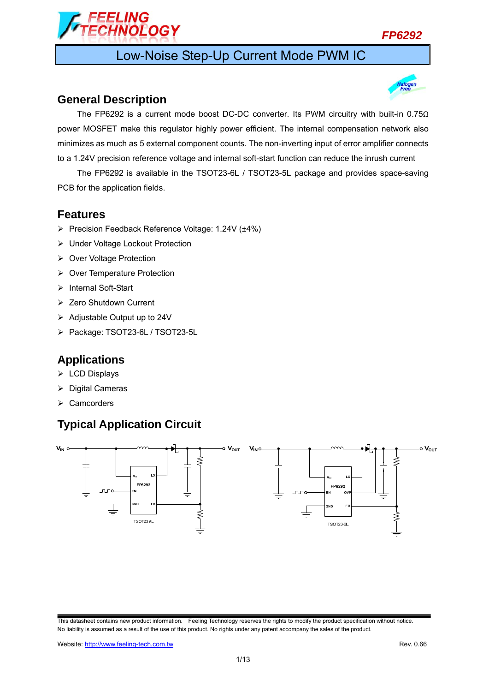### *FP6292*

# Low-Noise Step-Up Current Mode PWM IC

### **General Description**

FI ING

**VOLOGY** 



The FP6292 is a current mode boost DC-DC converter. Its PWM circuitry with built-in 0.75Ω power MOSFET make this regulator highly power efficient. The internal compensation network also minimizes as much as 5 external component counts. The non-inverting input of error amplifier connects to a 1.24V precision reference voltage and internal soft-start function can reduce the inrush current

The FP6292 is available in the TSOT23-6L / TSOT23-5L package and provides space-saving PCB for the application fields.

### **Features**

- Precision Feedback Reference Voltage: 1.24V (±4%)
- ▶ Under Voltage Lockout Protection
- ▶ Over Voltage Protection
- ▶ Over Temperature Protection
- > Internal Soft-Start
- Zero Shutdown Current
- $\triangleright$  Adjustable Output up to 24V
- Package: TSOT23-6L / TSOT23-5L

### **Applications**

- $\triangleright$  LCD Displays
- $\triangleright$  Digital Cameras
- $\triangleright$  Camcorders

# **Typical Application Circuit**



This datasheet contains new product information. Feeling Technology reserves the rights to modify the product specification without notice. No liability is assumed as a result of the use of this product. No rights under any patent accompany the sales of the product.

Website: http://www.feeling-tech.com.tw **Rev. 0.66 Rev. 0.66**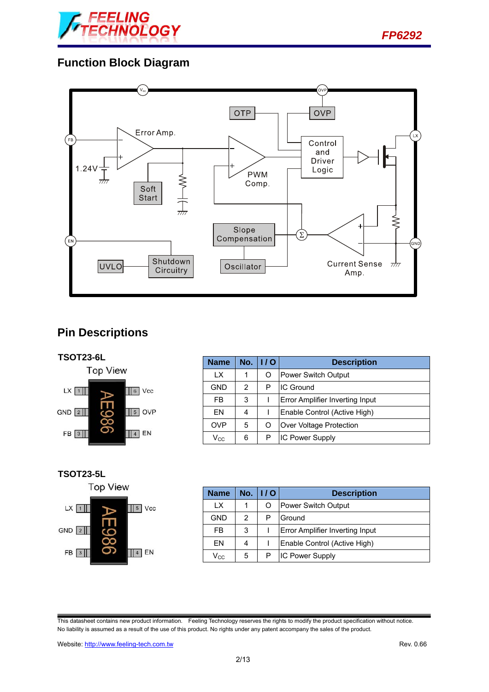



# **Function Block Diagram**



# **Pin Descriptions**



| <b>Name</b>                | No. | 1/O | <b>Description</b>              |  |
|----------------------------|-----|-----|---------------------------------|--|
| LX                         | 1   |     | Power Switch Output             |  |
| <b>GND</b>                 | 2   | P   | <b>IC Ground</b>                |  |
| <b>FB</b>                  | 3   |     | Error Amplifier Inverting Input |  |
| FN                         | 4   |     | Enable Control (Active High)    |  |
| <b>OVP</b>                 | 5   |     | Over Voltage Protection         |  |
| $\mathsf{V}_{\mathsf{CC}}$ | 6   | P   | <b>IC Power Supply</b>          |  |

#### **TSOT23-5L**



| <b>Name</b> |   | No. $  /0$ | <b>Description</b>              |  |
|-------------|---|------------|---------------------------------|--|
| IX.         |   |            | Power Switch Output             |  |
| <b>GND</b>  | 2 | P          | Ground                          |  |
| FB.         | 3 |            | Error Amplifier Inverting Input |  |
| FN          |   |            | Enable Control (Active High)    |  |
| Vcc         | 5 |            | <b>IC Power Supply</b>          |  |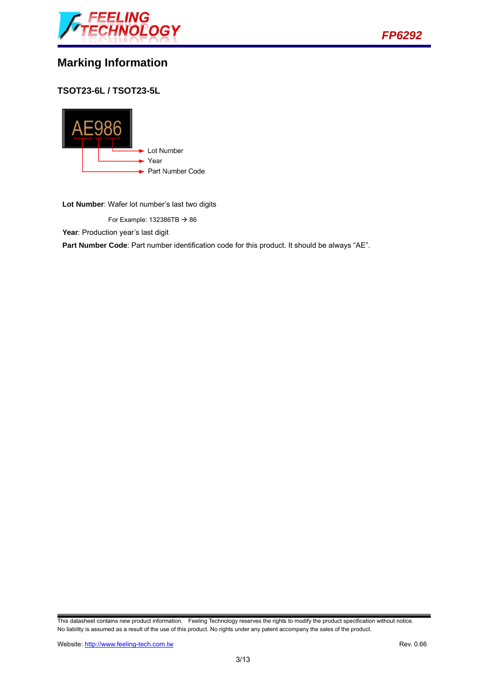



## **Marking Information**

**TSOT23-6L / TSOT23-5L** 



**Lot Number**: Wafer lot number's last two digits

For Example: 132386TB  $\rightarrow$  86

Year: Production year's last digit

Part Number Code: Part number identification code for this product. It should be always "AE".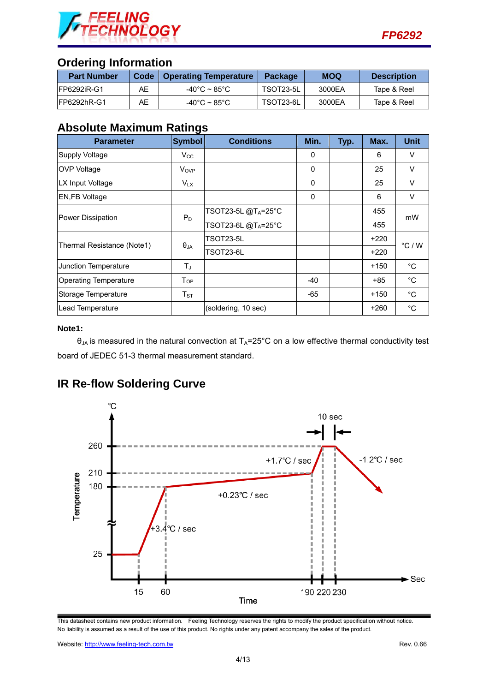

### **Ordering Information**

| <b>Part Number</b>  | <b>Code</b> | <b>Operating Temperature</b> | <b>Package</b> | <b>MOQ</b> | <b>Description</b> |
|---------------------|-------------|------------------------------|----------------|------------|--------------------|
| <b>IFP6292iR-G1</b> | AЕ          | -40°C ~ 85°C.                | TSOT23-5L      | 3000EA     | Tape & Reel        |
| IFP6292hR-G1        | AЕ          | -40°C ~ 85°C.                | TSOT23-6L      | 3000EA     | Tape & Reel        |

### **Absolute Maximum Ratings**

| <b>Parameter</b>             | <b>Symbol</b>         | <b>Conditions</b>               | Min.     | Typ. | Max.   | <b>Unit</b>     |
|------------------------------|-----------------------|---------------------------------|----------|------|--------|-----------------|
| Supply Voltage               | $V_{\rm CC}$          |                                 | $\Omega$ |      | 6      | V               |
| <b>OVP Voltage</b>           | V <sub>OVP</sub>      |                                 | $\Omega$ |      | 25     | V               |
| LX Input Voltage             | <b>V<sub>LX</sub></b> |                                 | 0        |      | 25     | V               |
| <b>EN,FB Voltage</b>         |                       |                                 | $\Omega$ |      | 6      | V               |
| Power Dissipation            | $P_D$                 | TSOT23-5L @T <sub>A</sub> =25°C |          |      | 455    | mW              |
|                              |                       | TSOT23-6L@T <sub>A</sub> =25°C  |          |      | 455    |                 |
| Thermal Resistance (Note1)   | $\theta_{JA}$         | TSOT23-5L                       |          |      | $+220$ | $\degree$ C / W |
|                              |                       | TSOT23-6L                       |          |      | $+220$ |                 |
| Junction Temperature         | Tu,                   |                                 |          |      | $+150$ | $^{\circ}$ C    |
| <b>Operating Temperature</b> | $T_{OP}$              |                                 | $-40$    |      | +85    | °C              |
| Storage Temperature          | $T_{ST}$              |                                 | -65      |      | $+150$ | $^{\circ}$ C    |
| Lead Temperature             |                       | (soldering, 10 sec)             |          |      | $+260$ | $^{\circ}$ C    |

#### **Note1:**

 $\theta_{JA}$  is measured in the natural convection at  $T_A=25^{\circ}$ C on a low effective thermal conductivity test board of JEDEC 51-3 thermal measurement standard.



## **IR Re-flow Soldering Curve**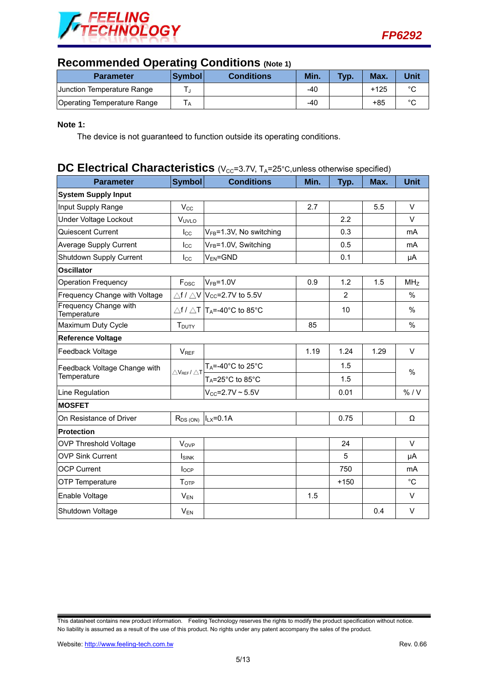



### **Recommended Operating Conditions (Note 1)**

| <b>Parameter</b>            | <b>Symbol</b> | <b>Conditions</b> | Min. | Typ. | Max.   | Unit   |
|-----------------------------|---------------|-------------------|------|------|--------|--------|
| Junction Temperature Range  |               |                   | -40  |      | $+125$ | $\sim$ |
| Operating Temperature Range | I A           |                   | -40  |      | $+85$  | $\sim$ |

#### **Note 1:**

The device is not guaranteed to function outside its operating conditions.

## **DC Electrical Characteristics** (V<sub>CC</sub>=3.7V, T<sub>A</sub>=25°C, unless otherwise specified)

| <b>Parameter</b>                     | <b>Symbol</b>                                | <b>Conditions</b>                                            | Min. | Typ.           | Max. | <b>Unit</b>     |
|--------------------------------------|----------------------------------------------|--------------------------------------------------------------|------|----------------|------|-----------------|
| <b>System Supply Input</b>           |                                              |                                                              |      |                |      |                 |
| Input Supply Range                   | $V_{\rm CC}$                                 |                                                              | 2.7  |                | 5.5  | V               |
| Under Voltage Lockout                | VUVLO                                        |                                                              |      | 2.2            |      | V               |
| Quiescent Current                    | $I_{\rm CC}$                                 | VFB=1.3V, No switching                                       |      | 0.3            |      | mA              |
| Average Supply Current               | $I_{\rm CC}$                                 | V <sub>FB</sub> =1.0V, Switching                             |      | 0.5            |      | mA              |
| Shutdown Supply Current              | $_{\text{Lcc}}$                              | $V_{EN} = GND$                                               |      | 0.1            |      | μA              |
| <b>Oscillator</b>                    |                                              |                                                              |      |                |      |                 |
| <b>Operation Frequency</b>           | $F_{\rm osc}$                                | $V_{FB} = 1.0V$                                              | 0.9  | 1.2            | 1.5  | MH <sub>Z</sub> |
| Frequency Change with Voltage        |                                              | $\triangle f$ / $\triangle V$ $ V_{CC}$ =2.7V to 5.5V        |      | $\overline{2}$ |      | %               |
| Frequency Change with<br>Temperature |                                              | $\triangle$ f / $\triangle$ T  T <sub>A</sub> =-40°C to 85°C |      | 10             |      | %               |
| Maximum Duty Cycle                   | T <sub>DUTY</sub>                            |                                                              | 85   |                |      | $\%$            |
| <b>Reference Voltage</b>             |                                              |                                                              |      |                |      |                 |
| Feedback Voltage                     | $V_{REF}$                                    |                                                              | 1.19 | 1.24           | 1.29 | V               |
| Feedback Voltage Change with         | $\triangle$ V <sub>REF</sub> / $\triangle$ T | TA=-40°C to 25°C                                             |      | 1.5            |      | $\%$            |
| Temperature                          |                                              | $T_A = 25^\circ \text{C}$ to 85°C                            |      | 1.5            |      |                 |
| Line Regulation                      |                                              | $V_{CC} = 2.7V - 5.5V$                                       |      | 0.01           |      | % / V           |
| <b>MOSFET</b>                        |                                              |                                                              |      |                |      |                 |
| On Resistance of Driver              | $R_{DS(ON)}$                                 | $ILX=0.1A$                                                   |      | 0.75           |      | Ω               |
| <b>Protection</b>                    |                                              |                                                              |      |                |      |                 |
| <b>OVP Threshold Voltage</b>         | <b>V</b> <sub>OVP</sub>                      |                                                              |      | 24             |      | V               |
| <b>OVP Sink Current</b>              | <b>I</b> SINK                                |                                                              |      | 5              |      | μA              |
| <b>OCP Current</b>                   | $I_{OCP}$                                    |                                                              |      | 750            |      | m <sub>A</sub>  |
| OTP Temperature                      | $\mathsf{T}_{\text{OTP}}$                    |                                                              |      | $+150$         |      | $^{\circ}C$     |
| Enable Voltage                       | $V_{EN}$                                     |                                                              | 1.5  |                |      | V               |
| Shutdown Voltage                     | $V_{EN}$                                     |                                                              |      |                | 0.4  | V               |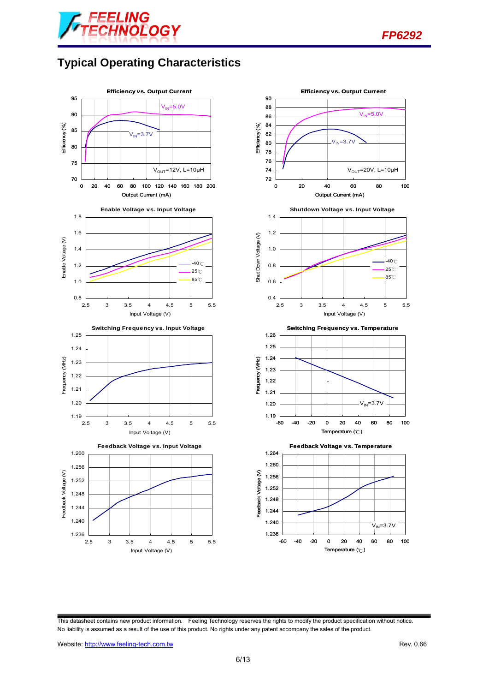



# **Typical Operating Characteristics**





This datasheet contains new product information. Feeling Technology reserves the rights to modify the product specification without notice. No liability is assumed as a result of the use of this product. No rights under any patent accompany the sales of the product.

Website: http://www.feeling-tech.com.tw Rev. 0.66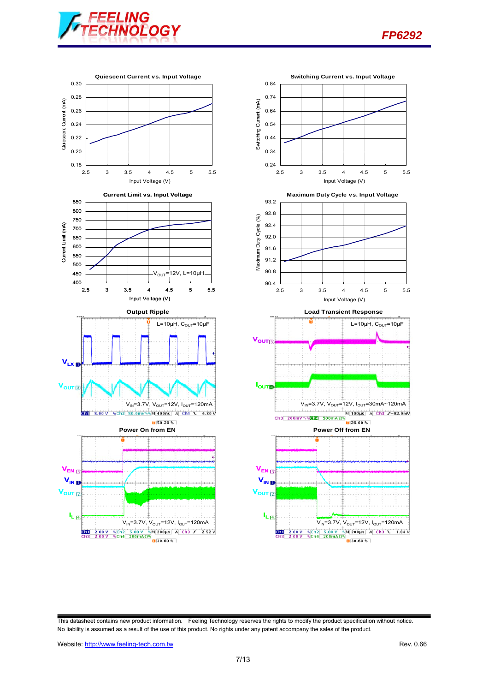





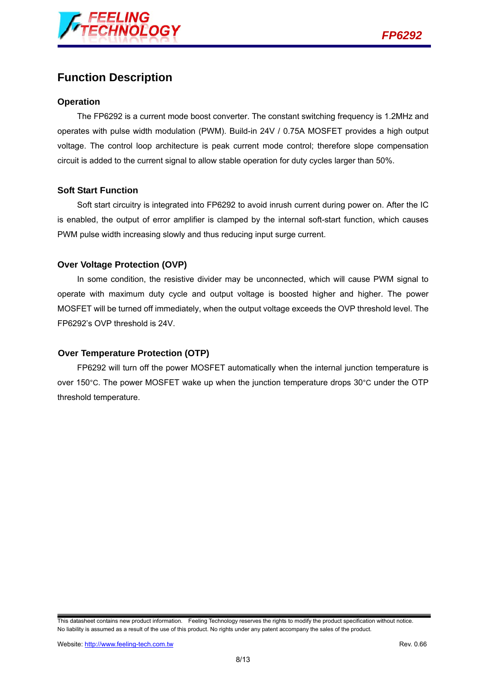

## **Function Description**

#### **Operation**

The FP6292 is a current mode boost converter. The constant switching frequency is 1.2MHz and operates with pulse width modulation (PWM). Build-in 24V / 0.75A MOSFET provides a high output voltage. The control loop architecture is peak current mode control; therefore slope compensation circuit is added to the current signal to allow stable operation for duty cycles larger than 50%.

#### **Soft Start Function**

Soft start circuitry is integrated into FP6292 to avoid inrush current during power on. After the IC is enabled, the output of error amplifier is clamped by the internal soft-start function, which causes PWM pulse width increasing slowly and thus reducing input surge current.

#### **Over Voltage Protection (OVP)**

In some condition, the resistive divider may be unconnected, which will cause PWM signal to operate with maximum duty cycle and output voltage is boosted higher and higher. The power MOSFET will be turned off immediately, when the output voltage exceeds the OVP threshold level. The FP6292's OVP threshold is 24V.

#### **Over Temperature Protection (OTP)**

FP6292 will turn off the power MOSFET automatically when the internal junction temperature is over 150°C. The power MOSFET wake up when the junction temperature drops 30°C under the OTP threshold temperature.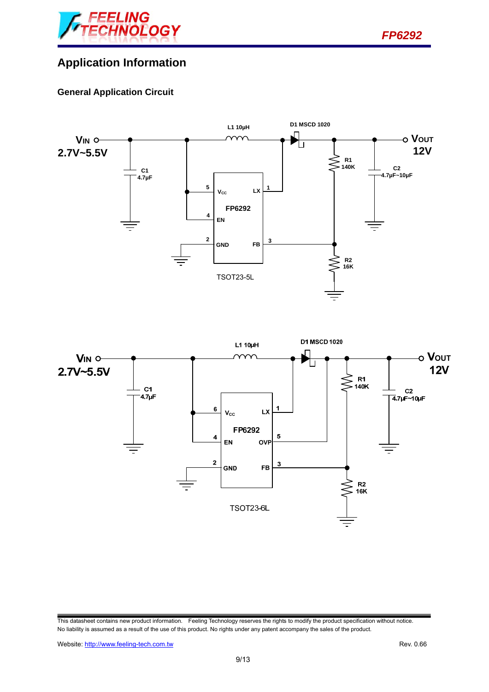

# **Application Information**

### **General Application Circuit**





This datasheet contains new product information. Feeling Technology reserves the rights to modify the product specification without notice. No liability is assumed as a result of the use of this product. No rights under any patent accompany the sales of the product.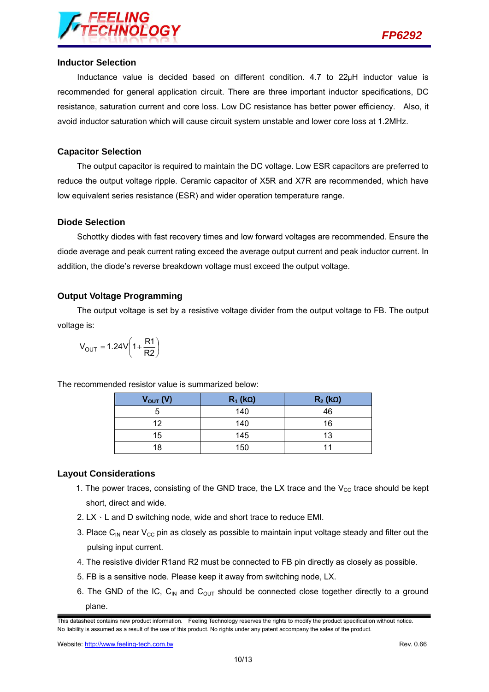

#### **Inductor Selection**

Inductance value is decided based on different condition. 4.7 to 22µH inductor value is recommended for general application circuit. There are three important inductor specifications, DC resistance, saturation current and core loss. Low DC resistance has better power efficiency. Also, it avoid inductor saturation which will cause circuit system unstable and lower core loss at 1.2MHz.

#### **Capacitor Selection**

The output capacitor is required to maintain the DC voltage. Low ESR capacitors are preferred to reduce the output voltage ripple. Ceramic capacitor of X5R and X7R are recommended, which have low equivalent series resistance (ESR) and wider operation temperature range.

#### **Diode Selection**

Schottky diodes with fast recovery times and low forward voltages are recommended. Ensure the diode average and peak current rating exceed the average output current and peak inductor current. In addition, the diode's reverse breakdown voltage must exceed the output voltage.

#### **Output Voltage Programming**

The output voltage is set by a resistive voltage divider from the output voltage to FB. The output voltage is:

$$
V_{OUT}=1.24V\left(1+\frac{R1}{R2}\right)
$$

| $V_{OUT} (V)$ | $R_1$ (kΩ) | $R_2$ (kΩ) |
|---------------|------------|------------|
|               | 140        | 46         |
| 12            | 140        | 16         |
| 15            | 145        | 13         |
| 18            | 150        | 11         |

The recommended resistor value is summarized below:

#### **Layout Considerations**

- 1. The power traces, consisting of the GND trace, the LX trace and the  $V_{\text{CC}}$  trace should be kept short, direct and wide.
- 2.  $LX \cdot L$  and D switching node, wide and short trace to reduce EMI.
- 3. Place C<sub>IN</sub> near V<sub>CC</sub> pin as closely as possible to maintain input voltage steady and filter out the pulsing input current.
- 4. The resistive divider R1and R2 must be connected to FB pin directly as closely as possible.
- 5. FB is a sensitive node. Please keep it away from switching node, LX.
- 6. The GND of the IC,  $C_{\text{IN}}$  and  $C_{\text{OUT}}$  should be connected close together directly to a ground plane.

Website: http://www.feeling-tech.com.tw **Rev. 0.66 Rev. 0.66** 

This datasheet contains new product information. Feeling Technology reserves the rights to modify the product specification without notice. No liability is assumed as a result of the use of this product. No rights under any patent accompany the sales of the product.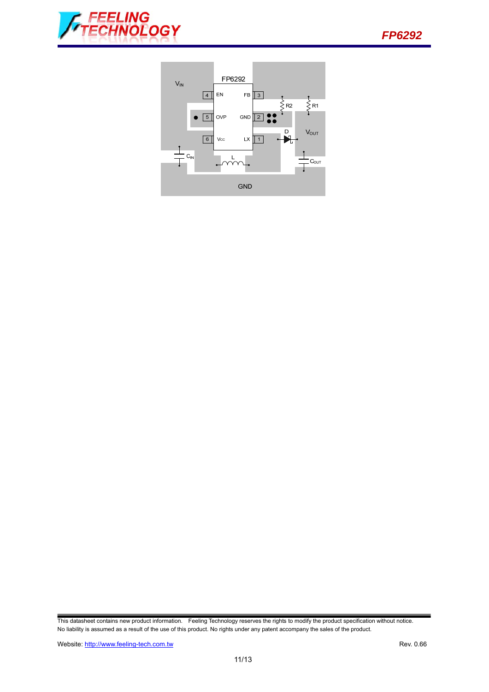



This datasheet contains new product information. Feeling Technology reserves the rights to modify the product specification without notice. No liability is assumed as a result of the use of this product. No rights under any patent accompany the sales of the product.

Website: http://www.feeling-tech.com.tw Rev. 0.66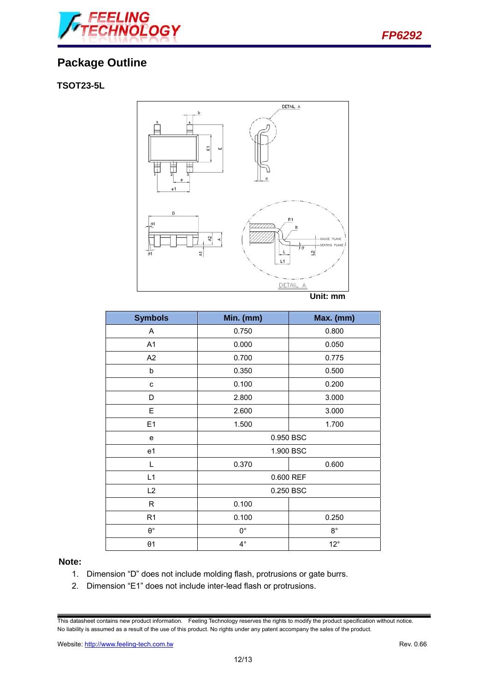

# **Package Outline**

### **TSOT23-5L**



| <b>Symbols</b> | Min. (mm)   | Max. (mm)    |  |
|----------------|-------------|--------------|--|
| Α              | 0.750       | 0.800        |  |
| A1             | 0.000       | 0.050        |  |
| A2             | 0.700       | 0.775        |  |
| b              | 0.350       | 0.500        |  |
| C              | 0.100       | 0.200        |  |
| D              | 2.800       | 3.000        |  |
| Ε              | 2.600       | 3.000        |  |
| E1             | 1.500       | 1.700        |  |
| e              | 0.950 BSC   |              |  |
| e1             |             | 1.900 BSC    |  |
| L              | 0.370       | 0.600        |  |
| L1             | 0.600 REF   |              |  |
| L2             | 0.250 BSC   |              |  |
| R              | 0.100       |              |  |
| R <sub>1</sub> | 0.100       | 0.250        |  |
| $\Theta^\circ$ | $0^{\circ}$ | $8^{\circ}$  |  |
| $\theta$ 1     | $4^\circ$   | $12^{\circ}$ |  |

#### **Note:**

- 1. Dimension "D" does not include molding flash, protrusions or gate burrs.
- 2. Dimension "E1" does not include inter-lead flash or protrusions.

This datasheet contains new product information. Feeling Technology reserves the rights to modify the product specification without notice. No liability is assumed as a result of the use of this product. No rights under any patent accompany the sales of the product.